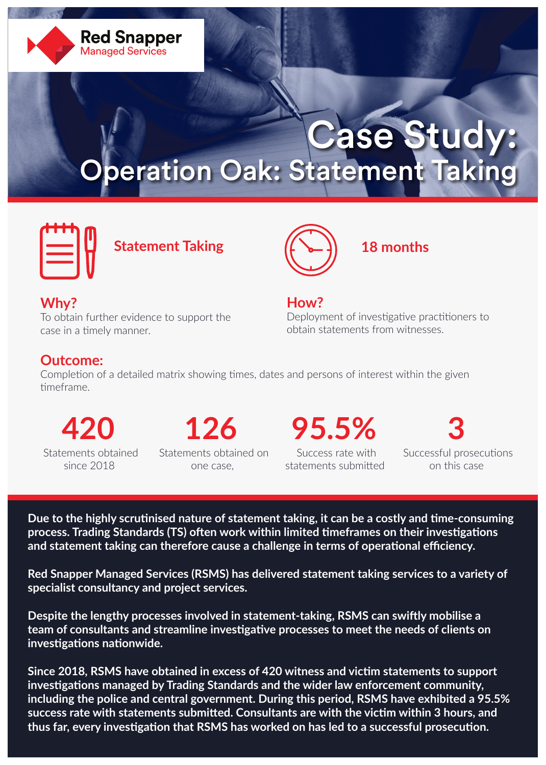

# Case Study: Operation Oak: Statement Taking



**Statement Taking**



**18 months**

## **Why?**

To obtain further evidence to support the case in a timely manner.

## **How?**

Deployment of investigative practitioners to obtain statements from witnesses.

## **Outcome:**

Completion of a detailed matrix showing times, dates and persons of interest within the given timeframe.

 Statements obtained since 2018

**420 126 95.5% 3** Statements obtained on one case,

 Success rate with statements submitted

Successful prosecutions on this case

**Due to the highly scrutinised nature of statement taking, it can be a costly and time-consuming process. Trading Standards (TS) often work within limited timeframes on their investigations and statement taking can therefore cause a challenge in terms of operational efficiency.** 

**Red Snapper Managed Services (RSMS) has delivered statement taking services to a variety of specialist consultancy and project services.** 

**Despite the lengthy processes involved in statement-taking, RSMS can swiftly mobilise a team of consultants and streamline investigative processes to meet the needs of clients on investigations nationwide.** 

**Since 2018, RSMS have obtained in excess of 420 witness and victim statements to support investigations managed by Trading Standards and the wider law enforcement community, including the police and central government. During this period, RSMS have exhibited a 95.5% success rate with statements submitted. Consultants are with the victim within 3 hours, and thus far, every investigation that RSMS has worked on has led to a successful prosecution.**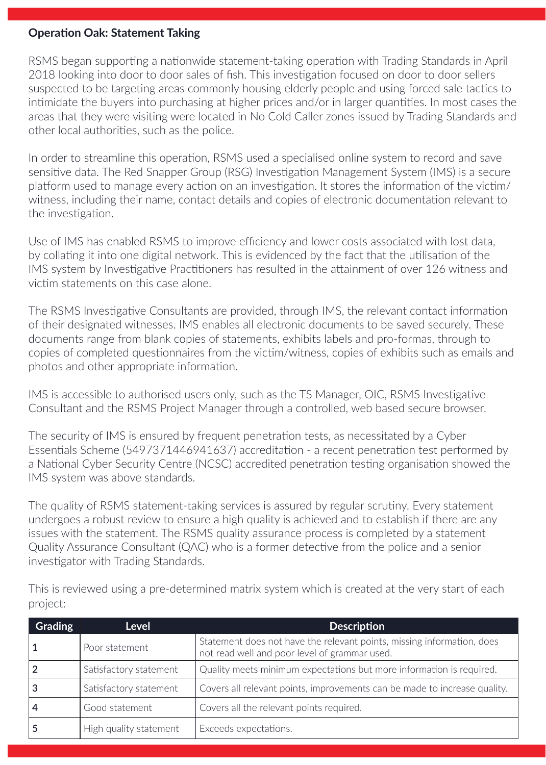#### **Operation Oak: Statement Taking**

RSMS began supporting a nationwide statement-taking operation with Trading Standards in April 2018 looking into door to door sales of fish. This investigation focused on door to door sellers suspected to be targeting areas commonly housing elderly people and using forced sale tactics to intimidate the buyers into purchasing at higher prices and/or in larger quantities. In most cases the areas that they were visiting were located in No Cold Caller zones issued by Trading Standards and other local authorities, such as the police.

In order to streamline this operation, RSMS used a specialised online system to record and save sensitive data. The Red Snapper Group (RSG) Investigation Management System (IMS) is a secure platform used to manage every action on an investigation. It stores the information of the victim/ witness, including their name, contact details and copies of electronic documentation relevant to the investigation.

Use of IMS has enabled RSMS to improve efficiency and lower costs associated with lost data, by collating it into one digital network. This is evidenced by the fact that the utilisation of the IMS system by Investigative Practitioners has resulted in the attainment of over 126 witness and victim statements on this case alone.

The RSMS Investigative Consultants are provided, through IMS, the relevant contact information of their designated witnesses. IMS enables all electronic documents to be saved securely. These documents range from blank copies of statements, exhibits labels and pro-formas, through to copies of completed questionnaires from the victim/witness, copies of exhibits such as emails and photos and other appropriate information.

IMS is accessible to authorised users only, such as the TS Manager, OIC, RSMS Investigative Consultant and the RSMS Project Manager through a controlled, web based secure browser.

The security of IMS is ensured by frequent penetration tests, as necessitated by a Cyber Essentials Scheme (5497371446941637) accreditation - a recent penetration test performed by a National Cyber Security Centre (NCSC) accredited penetration testing organisation showed the IMS system was above standards.

The quality of RSMS statement-taking services is assured by regular scrutiny. Every statement undergoes a robust review to ensure a high quality is achieved and to establish if there are any issues with the statement. The RSMS quality assurance process is completed by a statement Quality Assurance Consultant (QAC) who is a former detective from the police and a senior investigator with Trading Standards.

| <b>Grading</b> | <b>Level</b>           | <b>Description</b>                                                                                                      |
|----------------|------------------------|-------------------------------------------------------------------------------------------------------------------------|
|                | Poor statement         | Statement does not have the relevant points, missing information, does<br>not read well and poor level of grammar used. |
|                | Satisfactory statement | Quality meets minimum expectations but more information is required.                                                    |
|                | Satisfactory statement | Covers all relevant points, improvements can be made to increase quality.                                               |
|                | Good statement         | Covers all the relevant points required.                                                                                |
|                | High quality statement | Exceeds expectations.                                                                                                   |

This is reviewed using a pre-determined matrix system which is created at the very start of each project: